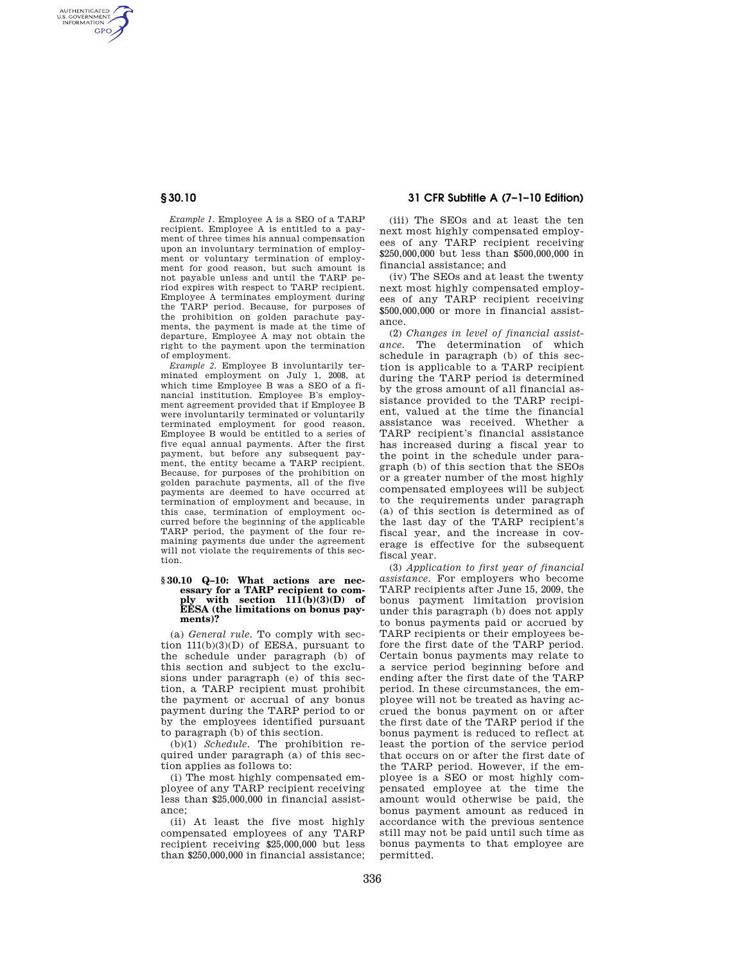AUTHENTICATED<br>U.S. GOVERNMENT<br>INFORMATION **GPO** 

**§ 30.10 31 CFR Subtitle A (7–1–10 Edition)** 

*Example 1.* Employee A is a SEO of a TARP recipient. Employee A is entitled to a payment of three times his annual compensation upon an involuntary termination of employment or voluntary termination of employment for good reason, but such amount is not payable unless and until the TARP period expires with respect to TARP recipient. Employee A terminates employment during the TARP period. Because, for purposes of the prohibition on golden parachute payments, the payment is made at the time of departure, Employee A may not obtain the right to the payment upon the termination of employment.

*Example 2.* Employee B involuntarily terminated employment on July 1, 2008, at which time Employee B was a SEO of a financial institution. Employee B's employment agreement provided that if Employee B were involuntarily terminated or voluntarily terminated employment for good reason, Employee B would be entitled to a series of five equal annual payments. After the first payment, but before any subsequent payment, the entity became a TARP recipient. Because, for purposes of the prohibition on golden parachute payments, all of the five payments are deemed to have occurred at termination of employment and because, in this case, termination of employment occurred before the beginning of the applicable TARP period, the payment of the four remaining payments due under the agreement will not violate the requirements of this section.

#### **§ 30.10 Q–10: What actions are necessary for a TARP recipient to com**with section  $11\overline{1}$ (b)(3)(D) of **EESA (the limitations on bonus payments)?**

(a) *General rule.* To comply with section  $11(b)(3)(D)$  of EESA, pursuant to the schedule under paragraph (b) of this section and subject to the exclusions under paragraph (e) of this section, a TARP recipient must prohibit the payment or accrual of any bonus payment during the TARP period to or by the employees identified pursuant to paragraph (b) of this section.

(b)(1) *Schedule.* The prohibition required under paragraph (a) of this section applies as follows to:

(i) The most highly compensated employee of any TARP recipient receiving less than \$25,000,000 in financial assistance;

(ii) At least the five most highly compensated employees of any TARP recipient receiving \$25,000,000 but less than \$250,000,000 in financial assistance;

(iii) The SEOs and at least the ten next most highly compensated employees of any TARP recipient receiving \$250,000,000 but less than \$500,000,000 in financial assistance; and

(iv) The SEOs and at least the twenty next most highly compensated employees of any TARP recipient receiving \$500,000,000 or more in financial assistance.

(2) *Changes in level of financial assistance.* The determination of which schedule in paragraph (b) of this section is applicable to a TARP recipient during the TARP period is determined by the gross amount of all financial assistance provided to the TARP recipient, valued at the time the financial assistance was received. Whether a TARP recipient's financial assistance has increased during a fiscal year to the point in the schedule under paragraph (b) of this section that the SEOs or a greater number of the most highly compensated employees will be subject to the requirements under paragraph (a) of this section is determined as of the last day of the TARP recipient's fiscal year, and the increase in coverage is effective for the subsequent fiscal year.

(3) *Application to first year of financial assistance.* For employers who become TARP recipients after June 15, 2009, the bonus payment limitation provision under this paragraph (b) does not apply to bonus payments paid or accrued by TARP recipients or their employees before the first date of the TARP period. Certain bonus payments may relate to a service period beginning before and ending after the first date of the TARP period. In these circumstances, the employee will not be treated as having accrued the bonus payment on or after the first date of the TARP period if the bonus payment is reduced to reflect at least the portion of the service period that occurs on or after the first date of the TARP period. However, if the employee is a SEO or most highly compensated employee at the time the amount would otherwise be paid, the bonus payment amount as reduced in accordance with the previous sentence still may not be paid until such time as bonus payments to that employee are permitted.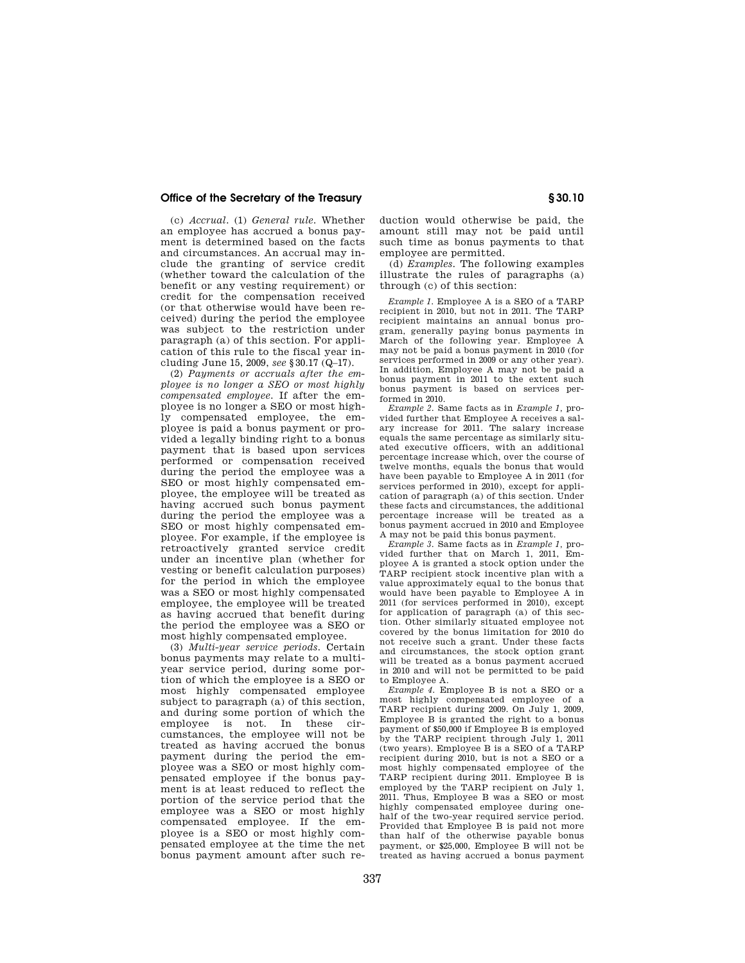# **Office of the Secretary of the Treasury § 30.10**

(c) *Accrual.* (1) *General rule.* Whether an employee has accrued a bonus payment is determined based on the facts and circumstances. An accrual may include the granting of service credit (whether toward the calculation of the benefit or any vesting requirement) or credit for the compensation received (or that otherwise would have been received) during the period the employee was subject to the restriction under paragraph (a) of this section. For application of this rule to the fiscal year including June 15, 2009, *see* §30.17 (Q–17).

(2) *Payments or accruals after the employee is no longer a SEO or most highly compensated employee.* If after the employee is no longer a SEO or most highly compensated employee, the employee is paid a bonus payment or provided a legally binding right to a bonus payment that is based upon services performed or compensation received during the period the employee was a SEO or most highly compensated employee, the employee will be treated as having accrued such bonus payment during the period the employee was a SEO or most highly compensated employee. For example, if the employee is retroactively granted service credit under an incentive plan (whether for vesting or benefit calculation purposes) for the period in which the employee was a SEO or most highly compensated employee, the employee will be treated as having accrued that benefit during the period the employee was a SEO or most highly compensated employee.

(3) *Multi-year service periods.* Certain bonus payments may relate to a multiyear service period, during some portion of which the employee is a SEO or most highly compensated employee subject to paragraph (a) of this section, and during some portion of which the employee is not. In these circumstances, the employee will not be treated as having accrued the bonus payment during the period the employee was a SEO or most highly compensated employee if the bonus payment is at least reduced to reflect the portion of the service period that the employee was a SEO or most highly compensated employee. If the employee is a SEO or most highly compensated employee at the time the net bonus payment amount after such re-

duction would otherwise be paid, the amount still may not be paid until such time as bonus payments to that employee are permitted.

(d) *Examples.* The following examples illustrate the rules of paragraphs (a) through (c) of this section:

*Example 1.* Employee A is a SEO of a TARP recipient in 2010, but not in 2011. The TARP recipient maintains an annual bonus program, generally paying bonus payments in March of the following year. Employee A may not be paid a bonus payment in 2010 (for services performed in 2009 or any other year). In addition, Employee A may not be paid a bonus payment in 2011 to the extent such bonus payment is based on services performed in 2010.

*Example 2.* Same facts as in *Example 1,* provided further that Employee A receives a salary increase for 2011. The salary increase equals the same percentage as similarly situated executive officers, with an additional percentage increase which, over the course of twelve months, equals the bonus that would have been payable to Employee A in 2011 (for services performed in 2010), except for application of paragraph (a) of this section. Under these facts and circumstances, the additional percentage increase will be treated as a bonus payment accrued in 2010 and Employee A may not be paid this bonus payment.

*Example 3.* Same facts as in *Example 1,* provided further that on March 1, 2011, Employee A is granted a stock option under the TARP recipient stock incentive plan with a value approximately equal to the bonus that would have been payable to Employee A in 2011 (for services performed in 2010), except for application of paragraph (a) of this section. Other similarly situated employee not covered by the bonus limitation for 2010 do not receive such a grant. Under these facts and circumstances, the stock option grant will be treated as a bonus payment accrued in 2010 and will not be permitted to be paid to Employee A.

*Example 4.* Employee B is not a SEO or a most highly compensated employee of a TARP recipient during 2009. On July 1, 2009, Employee B is granted the right to a bonus payment of \$50,000 if Employee B is employed by the TARP recipient through July 1, 2011 (two years). Employee B is a SEO of a TARP recipient during 2010, but is not a SEO or a most highly compensated employee of the TARP recipient during 2011. Employee B is employed by the TARP recipient on July 1, 2011. Thus, Employee B was a SEO or most highly compensated employee during onehalf of the two-year required service period. Provided that Employee B is paid not more than half of the otherwise payable bonus payment, or \$25,000, Employee B will not be treated as having accrued a bonus payment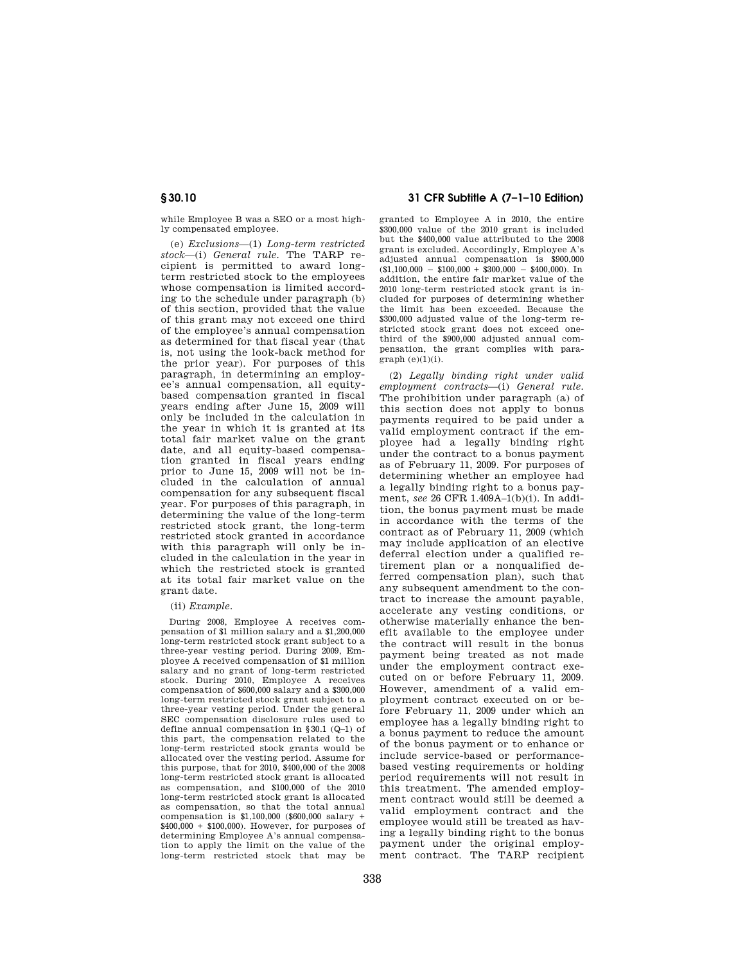while Employee B was a SEO or a most highly compensated employee.

(e) *Exclusions*—(1) *Long-term restricted stock*—(i) *General rule.* The TARP recipient is permitted to award longterm restricted stock to the employees whose compensation is limited according to the schedule under paragraph (b) of this section, provided that the value of this grant may not exceed one third of the employee's annual compensation as determined for that fiscal year (that is, not using the look-back method for the prior year). For purposes of this paragraph, in determining an employee's annual compensation, all equitybased compensation granted in fiscal years ending after June 15, 2009 will only be included in the calculation in the year in which it is granted at its total fair market value on the grant date, and all equity-based compensation granted in fiscal years ending prior to June 15, 2009 will not be included in the calculation of annual compensation for any subsequent fiscal year. For purposes of this paragraph, in determining the value of the long-term restricted stock grant, the long-term restricted stock granted in accordance with this paragraph will only be included in the calculation in the year in which the restricted stock is granted at its total fair market value on the grant date.

### (ii) *Example.*

During 2008, Employee A receives compensation of \$1 million salary and a \$1,200,000 long-term restricted stock grant subject to a three-year vesting period. During 2009, Employee A received compensation of \$1 million salary and no grant of long-term restricted stock. During 2010, Employee A receives compensation of \$600,000 salary and a \$300,000 long-term restricted stock grant subject to a three-year vesting period. Under the general SEC compensation disclosure rules used to define annual compensation in §30.1 (Q–1) of this part, the compensation related to the long-term restricted stock grants would be allocated over the vesting period. Assume for this purpose, that for 2010, \$400,000 of the 2008 long-term restricted stock grant is allocated as compensation, and \$100,000 of the 2010 long-term restricted stock grant is allocated as compensation, so that the total annual compensation is \$1,100,000 (\$600,000 salary + \$400,000 + \$100,000). However, for purposes of determining Employee A's annual compensation to apply the limit on the value of the long-term restricted stock that may be

# **§ 30.10 31 CFR Subtitle A (7–1–10 Edition)**

granted to Employee A in 2010, the entire \$300,000 value of the 2010 grant is included but the \$400,000 value attributed to the 2008 grant is excluded. Accordingly, Employee A's adjusted annual compensation is \$900,000  $($1,100,000 - $100,000 + $300,000 - $400,000)$ . In addition, the entire fair market value of the 2010 long-term restricted stock grant is included for purposes of determining whether the limit has been exceeded. Because the \$300,000 adjusted value of the long-term restricted stock grant does not exceed onethird of the \$900,000 adjusted annual compensation, the grant complies with para $graph (e)(1)(i)$ .

(2) *Legally binding right under valid employment contracts*—(i) *General rule.*  The prohibition under paragraph (a) of this section does not apply to bonus payments required to be paid under a valid employment contract if the employee had a legally binding right under the contract to a bonus payment as of February 11, 2009. For purposes of determining whether an employee had a legally binding right to a bonus payment, *see* 26 CFR 1.409A–1(b)(i). In addition, the bonus payment must be made in accordance with the terms of the contract as of February 11, 2009 (which may include application of an elective deferral election under a qualified retirement plan or a nonqualified deferred compensation plan), such that any subsequent amendment to the contract to increase the amount payable, accelerate any vesting conditions, or otherwise materially enhance the benefit available to the employee under the contract will result in the bonus payment being treated as not made under the employment contract executed on or before February 11, 2009. However, amendment of a valid employment contract executed on or before February 11, 2009 under which an employee has a legally binding right to a bonus payment to reduce the amount of the bonus payment or to enhance or include service-based or performancebased vesting requirements or holding period requirements will not result in this treatment. The amended employment contract would still be deemed a valid employment contract and the employee would still be treated as having a legally binding right to the bonus payment under the original employment contract. The TARP recipient